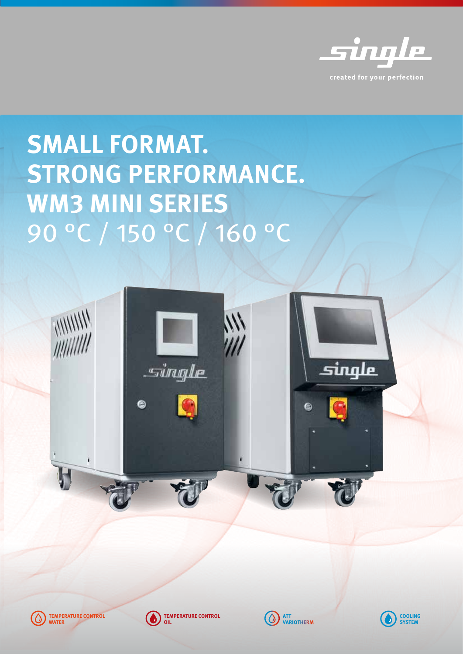

# **SMALL FORMAT. STRONG PERFORMANCE. WM3 MINI SERIES**  90 °C / 150 °C / 160 °C





**TEMPERATURE CONTROL OIL**



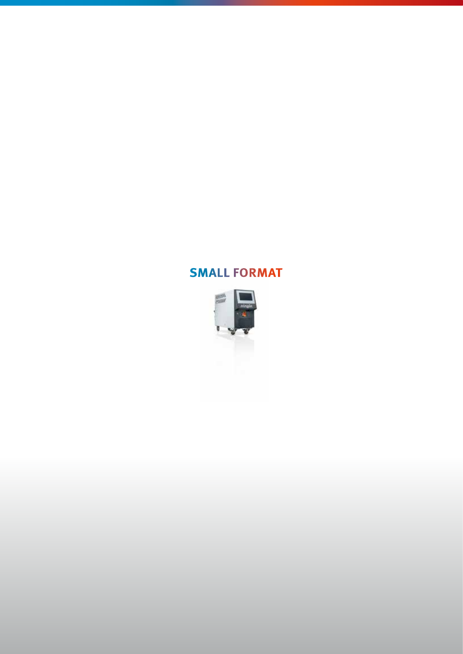#### **SMALL FORMAT**

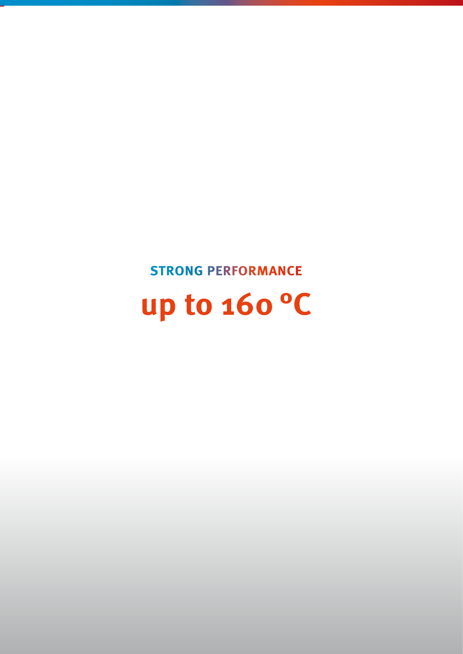**STRONG PERFORMANCE**

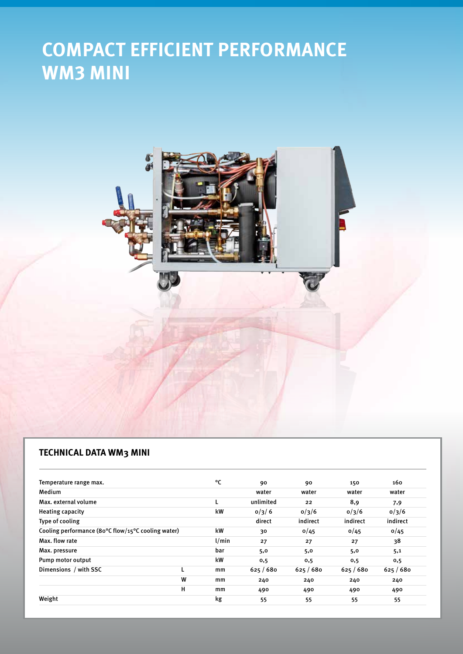## **COMPACT EFFICIENT PERFORMANCE WM3 MINI**



#### **TECHNICAL DATA WM3 MINI**

| Temperature range max.                                                 |   | °C    | 90        | 90        | 150      | 160      |
|------------------------------------------------------------------------|---|-------|-----------|-----------|----------|----------|
| Medium                                                                 |   |       | water     | water     | water    | water    |
| Max. external volume                                                   |   |       | unlimited | 22        | 8,9      | 7,9      |
| <b>Heating capacity</b>                                                |   | kW    | 0/3/6     | 0/3/6     | 0/3/6    | 0/3/6    |
| Type of cooling                                                        |   |       | direct    | indirect  | indirect | indirect |
| Cooling performance (80 $\degree$ C flow/15 $\degree$ C cooling water) |   | kW    | 30        | 0/45      | 0/45     | 0/45     |
| Max. flow rate                                                         |   | 1/min | 27        | 27        | 27       | 38       |
| Max. pressure                                                          |   | bar   | 5,0       | 5,0       | 5,0      | 5,1      |
| Pump motor output                                                      |   | kW    | 0,5       | 0,5       | 0,5      | 0,5      |
| Dimensions / with SSC                                                  |   | mm    | 625/680   | 625 / 680 | 625/680  | 625/680  |
|                                                                        | W | mm    | 240       | 240       | 240      | 240      |
|                                                                        | н | mm    | 490       | 490       | 490      | 490      |
| Weight                                                                 |   | kg    | 55        | 55        | 55       | 55       |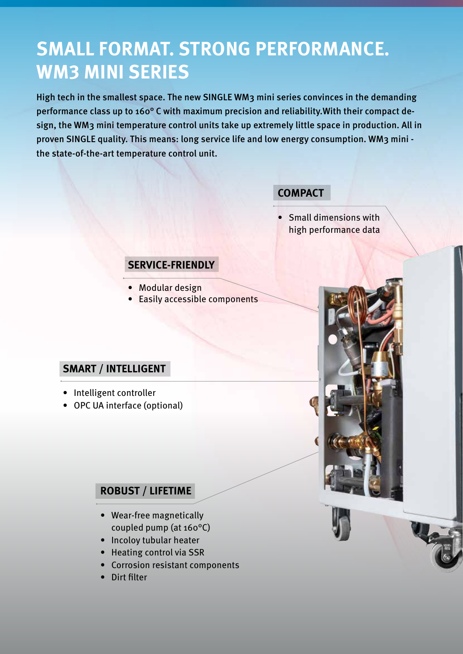### **SMALL FORMAT. STRONG PERFORMANCE. WM3 MINI SERIES**

High tech in the smallest space. The new SINGLE WM3 mini series convinces in the demanding performance class up to 160° C with maximum precision and reliability.With their compact design, the WM3 mini temperature control units take up extremely little space in production. All in proven SINGLE quality. This means: long service life and low energy consumption. WM3 mini the state-of-the-art temperature control unit.

#### **COMPACT**

• Small dimensions with high performance data

#### **SERVICE-FRIENDLY** -

- Modular design
- Easily accessible components

#### **SMART / INTELLIGENT**

- Intelligent controller
- OPC UA interface (optional)

#### **ROBUST / LIFETIME**

- Wear-free magnetically coupled pump (at 160°C)
- Incoloy tubular heater
- Heating control via SSR
- Corrosion resistant components
- Dirt filter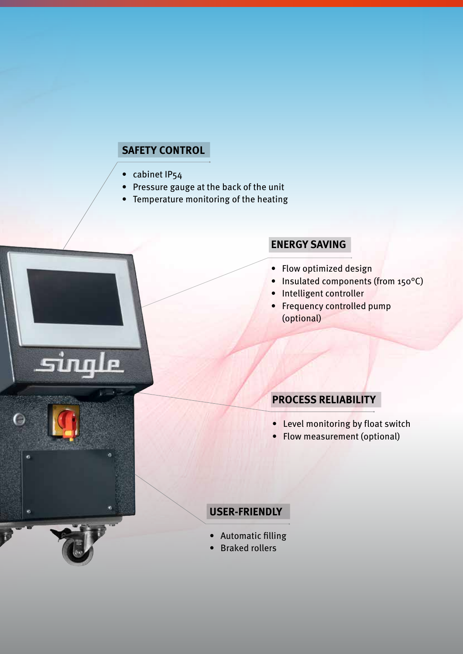#### **SAFETY CONTROL**

• cabinet IP54

le

 $\overline{I}$ 

ь

- Pressure gauge at the back of the unit
- Temperature monitoring of the heating

#### **ENERGY SAVING**

- Flow optimized design
- Insulated components (from 150°C)
- Intelligent controller
- Frequency controlled pump (optional)

#### **PROCESS RELIABILITY**

- Level monitoring by float switch
- Flow measurement (optional)

#### **USER-FRIENDLY**

- Automatic filling
- Braked rollers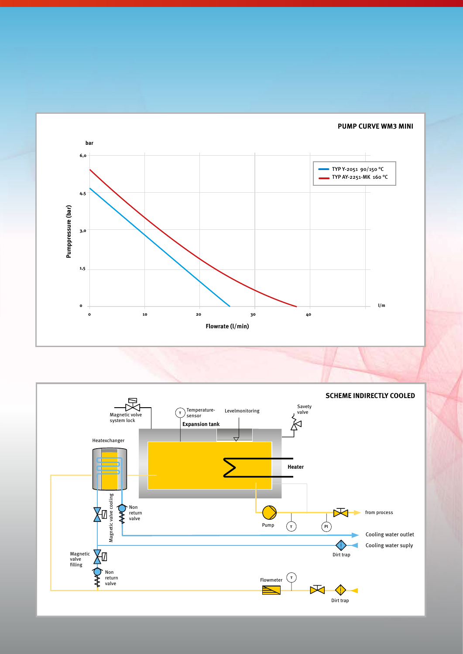**PUMP CURVE WM3 MINI**